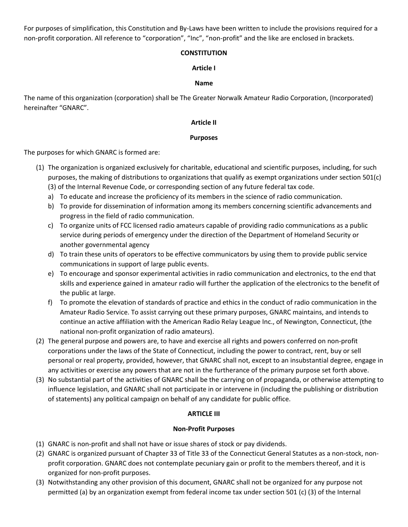For purposes of simplification, this Constitution and By-Laws have been written to include the provisions required for a non-profit corporation. All reference to "corporation", "Inc", "non-profit" and the like are enclosed in brackets.

## **CONSTITUTION**

## **Article I**

## **Name**

The name of this organization (corporation) shall be The Greater Norwalk Amateur Radio Corporation, (Incorporated) hereinafter "GNARC".

## **Article II**

## **Purposes**

The purposes for which GNARC is formed are:

- (1) The organization is organized exclusively for charitable, educational and scientific purposes, including, for such purposes, the making of distributions to organizations that qualify as exempt organizations under section 501(c) (3) of the Internal Revenue Code, or corresponding section of any future federal tax code.
	- a) To educate and increase the proficiency of its members in the science of radio communication.
	- b) To provide for dissemination of information among its members concerning scientific advancements and progress in the field of radio communication.
	- c) To organize units of FCC licensed radio amateurs capable of providing radio communications as a public service during periods of emergency under the direction of the Department of Homeland Security or another governmental agency
	- d) To train these units of operators to be effective communicators by using them to provide public service communications in support of large public events.
	- e) To encourage and sponsor experimental activities in radio communication and electronics, to the end that skills and experience gained in amateur radio will further the application of the electronics to the benefit of the public at large.
	- f) To promote the elevation of standards of practice and ethics in the conduct of radio communication in the Amateur Radio Service. To assist carrying out these primary purposes, GNARC maintains, and intends to continue an active affiliation with the American Radio Relay League Inc., of Newington, Connecticut, (the national non-profit organization of radio amateurs).
- (2) The general purpose and powers are, to have and exercise all rights and powers conferred on non-profit corporations under the laws of the State of Connecticut, including the power to contract, rent, buy or sell personal or real property, provided, however, that GNARC shall not, except to an insubstantial degree, engage in any activities or exercise any powers that are not in the furtherance of the primary purpose set forth above.
- (3) No substantial part of the activities of GNARC shall be the carrying on of propaganda, or otherwise attempting to influence legislation, and GNARC shall not participate in or intervene in (including the publishing or distribution of statements) any political campaign on behalf of any candidate for public office.

# **ARTICLE III**

## **Non-Profit Purposes**

- (1) GNARC is non-profit and shall not have or issue shares of stock or pay dividends.
- (2) GNARC is organized pursuant of Chapter 33 of Title 33 of the Connecticut General Statutes as a non-stock, nonprofit corporation. GNARC does not contemplate pecuniary gain or profit to the members thereof, and it is organized for non-profit purposes.
- (3) Notwithstanding any other provision of this document, GNARC shall not be organized for any purpose not permitted (a) by an organization exempt from federal income tax under section 501 (c) (3) of the Internal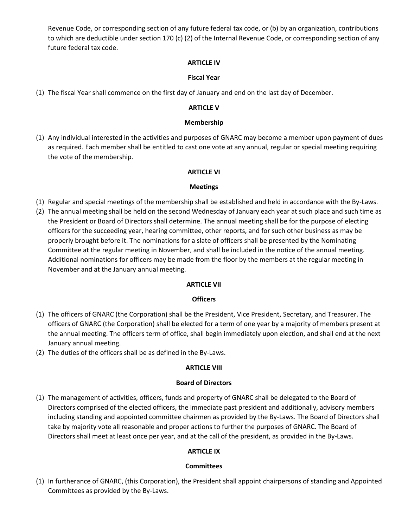Revenue Code, or corresponding section of any future federal tax code, or (b) by an organization, contributions to which are deductible under section 170 (c) (2) of the Internal Revenue Code, or corresponding section of any future federal tax code.

#### **ARTICLE IV**

### **Fiscal Year**

(1) The fiscal Year shall commence on the first day of January and end on the last day of December.

#### **ARTICLE V**

#### **Membership**

(1) Any individual interested in the activities and purposes of GNARC may become a member upon payment of dues as required. Each member shall be entitled to cast one vote at any annual, regular or special meeting requiring the vote of the membership.

### **ARTICLE VI**

### **Meetings**

- (1) Regular and special meetings of the membership shall be established and held in accordance with the By-Laws.
- (2) The annual meeting shall be held on the second Wednesday of January each year at such place and such time as the President or Board of Directors shall determine. The annual meeting shall be for the purpose of electing officers for the succeeding year, hearing committee, other reports, and for such other business as may be properly brought before it. The nominations for a slate of officers shall be presented by the Nominating Committee at the regular meeting in November, and shall be included in the notice of the annual meeting. Additional nominations for officers may be made from the floor by the members at the regular meeting in November and at the January annual meeting.

#### **ARTICLE VII**

#### **Officers**

- (1) The officers of GNARC (the Corporation) shall be the President, Vice President, Secretary, and Treasurer. The officers of GNARC (the Corporation) shall be elected for a term of one year by a majority of members present at the annual meeting. The officers term of office, shall begin immediately upon election, and shall end at the next January annual meeting.
- (2) The duties of the officers shall be as defined in the By-Laws.

## **ARTICLE VIII**

#### **Board of Directors**

(1) The management of activities, officers, funds and property of GNARC shall be delegated to the Board of Directors comprised of the elected officers, the immediate past president and additionally, advisory members including standing and appointed committee chairmen as provided by the By-Laws. The Board of Directors shall take by majority vote all reasonable and proper actions to further the purposes of GNARC. The Board of Directors shall meet at least once per year, and at the call of the president, as provided in the By-Laws.

## **ARTICLE IX**

## **Committees**

(1) In furtherance of GNARC, (this Corporation), the President shall appoint chairpersons of standing and Appointed Committees as provided by the By-Laws.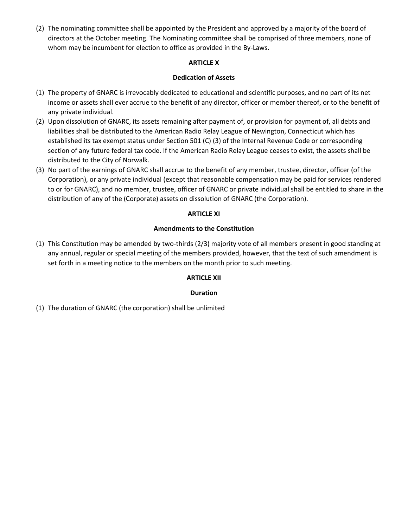(2) The nominating committee shall be appointed by the President and approved by a majority of the board of directors at the October meeting. The Nominating committee shall be comprised of three members, none of whom may be incumbent for election to office as provided in the By-Laws.

### **ARTICLE X**

### **Dedication of Assets**

- (1) The property of GNARC is irrevocably dedicated to educational and scientific purposes, and no part of its net income or assets shall ever accrue to the benefit of any director, officer or member thereof, or to the benefit of any private individual.
- (2) Upon dissolution of GNARC, its assets remaining after payment of, or provision for payment of, all debts and liabilities shall be distributed to the American Radio Relay League of Newington, Connecticut which has established its tax exempt status under Section 501 (C) (3) of the Internal Revenue Code or corresponding section of any future federal tax code. If the American Radio Relay League ceases to exist, the assets shall be distributed to the City of Norwalk.
- (3) No part of the earnings of GNARC shall accrue to the benefit of any member, trustee, director, officer (of the Corporation), or any private individual (except that reasonable compensation may be paid for services rendered to or for GNARC), and no member, trustee, officer of GNARC or private individual shall be entitled to share in the distribution of any of the (Corporate) assets on dissolution of GNARC (the Corporation).

### **ARTICLE XI**

### **Amendments to the Constitution**

(1) This Constitution may be amended by two-thirds (2/3) majority vote of all members present in good standing at any annual, regular or special meeting of the members provided, however, that the text of such amendment is set forth in a meeting notice to the members on the month prior to such meeting.

## **ARTICLE XII**

## **Duration**

(1) The duration of GNARC (the corporation) shall be unlimited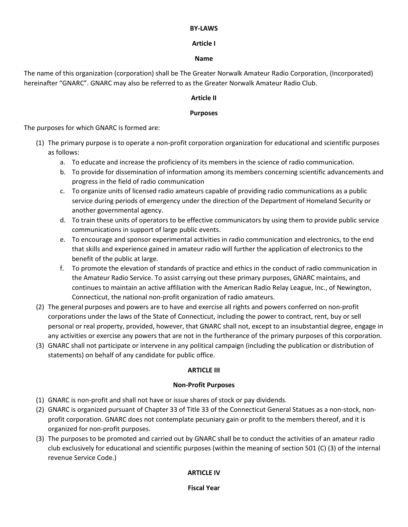#### **BY-LAWS**

# **Article I**

### **Name**

The name of this organization (corporation) shall be The Greater Norwalk Amateur Radio Corporation, (Incorporated) hereinafter "GNARC". GNARC may also be referred to as the Greater Norwalk Amateur Radio Club.

### **Article II**

### **Purposes**

The purposes for which GNARC is formed are:

- (1) The primary purpose is to operate a non-profit corporation organization for educational and scientific purposes as follows:
	- a. To educate and increase the proficiency of its members in the science of radio communication.
	- b. To provide for dissemination of information among its members concerning scientific advancements and progress in the field of radio communication
	- c. To organize units of licensed radio amateurs capable of providing radio communications as a public service during periods of emergency under the direction of the Department of Homeland Security or another governmental agency.
	- d. To train these units of operators to be effective communicators by using them to provide public service communications in support of large public events.
	- e. To encourage and sponsor experimental activities in radio communication and electronics, to the end that skills and experience gained in amateur radio will further the application of electronics to the benefit of the public at large.
	- f. To promote the elevation of standards of practice and ethics in the conduct of radio communication in the Amateur Radio Service. To assist carrying out these primary purposes, GNARC maintains, and continues to maintain an active affiliation with the American Radio Relay League, Inc., of Newington, Connecticut, the national non-profit organization of radio amateurs.
- (2) The general purposes and powers are to have and exercise all rights and powers conferred on non-profit corporations under the laws of the State of Connecticut, including the power to contract, rent, buy or sell personal or real property, provided, however, that GNARC shall not, except to an insubstantial degree, engage in any activities or exercise any powers that are not in the furtherance of the primary purposes of this corporation.
- (3) GNARC shall not participate or intervene in any political campaign (including the publication or distribution of statements) on behalf of any candidate for public office.

## **ARTICLE III**

#### **Non-Profit Purposes**

- (1) GNARC is non-profit and shall not have or issue shares of stock or pay dividends.
- (2) GNARC is organized pursuant of Chapter 33 of Title 33 of the Connecticut General Statues as a non-stock, nonprofit corporation. GNARC does not contemplate pecuniary gain or profit to the members thereof, and it is organized for non-profit purposes.
- (3) The purposes to be promoted and carried out by GNARC shall be to conduct the activities of an amateur radio club exclusively for educational and scientific purposes (within the meaning of section 501 (C) (3) of the internal revenue Service Code.)

## **ARTICLE IV**

**Fiscal Year**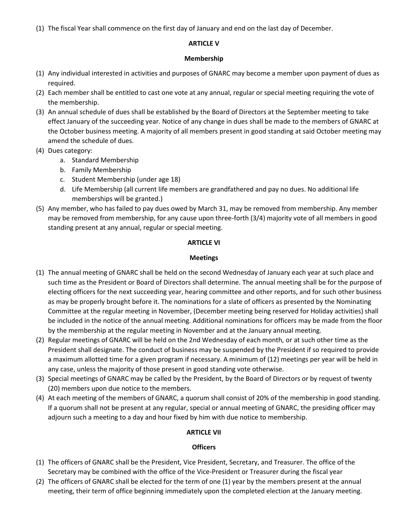(1) The fiscal Year shall commence on the first day of January and end on the last day of December.

## **ARTICLE V**

#### **Membership**

- (1) Any individual interested in activities and purposes of GNARC may become a member upon payment of dues as required.
- (2) Each member shall be entitled to cast one vote at any annual, regular or special meeting requiring the vote of the membership.
- (3) An annual schedule of dues shall be established by the Board of Directors at the September meeting to take effect January of the succeeding year. Notice of any change in dues shall be made to the members of GNARC at the October business meeting. A majority of all members present in good standing at said October meeting may amend the schedule of dues.
- (4) Dues category:
	- a. Standard Membership
	- b. Family Membership
	- c. Student Membership (under age 18)
	- d. Life Membership (all current life members are grandfathered and pay no dues. No additional life memberships will be granted.)
- (5) Any member, who has failed to pay dues owed by March 31, may be removed from membership. Any member may be removed from membership, for any cause upon three-forth (3/4) majority vote of all members in good standing present at any annual, regular or special meeting.

### **ARTICLE VI**

### **Meetings**

- (1) The annual meeting of GNARC shall be held on the second Wednesday of January each year at such place and such time as the President or Board of Directors shall determine. The annual meeting shall be for the purpose of electing officers for the next succeeding year, hearing committee and other reports, and for such other business as may be properly brought before it. The nominations for a slate of officers as presented by the Nominating Committee at the regular meeting in November, (December meeting being reserved for Holiday activities) shall be included in the notice of the annual meeting. Additional nominations for officers may be made from the floor by the membership at the regular meeting in November and at the January annual meeting.
- (2) Regular meetings of GNARC will be held on the 2nd Wednesday of each month, or at such other time as the President shall designate. The conduct of business may be suspended by the President if so required to provide a maximum allotted time for a given program if necessary. A minimum of (12) meetings per year will be held in any case, unless the majority of those present in good standing vote otherwise.
- (3) Special meetings of GNARC may be called by the President, by the Board of Directors or by request of twenty (20) members upon due notice to the members.
- (4) At each meeting of the members of GNARC, a quorum shall consist of 20% of the membership in good standing. If a quorum shall not be present at any regular, special or annual meeting of GNARC, the presiding officer may adjourn such a meeting to a day and hour fixed by him with due notice to membership.

## **ARTICLE VII**

## **Officers**

- (1) The officers of GNARC shall be the President, Vice President, Secretary, and Treasurer. The office of the Secretary may be combined with the office of the Vice-President or Treasurer during the fiscal year
- (2) The officers of GNARC shall be elected for the term of one (1) year by the members present at the annual meeting, their term of office beginning immediately upon the completed election at the January meeting.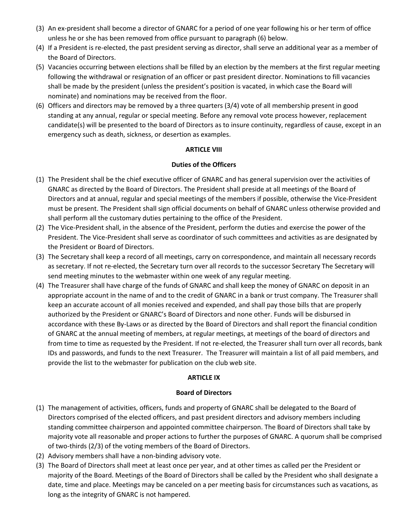- (3) An ex-president shall become a director of GNARC for a period of one year following his or her term of office unless he or she has been removed from office pursuant to paragraph (6) below.
- (4) If a President is re-elected, the past president serving as director, shall serve an additional year as a member of the Board of Directors.
- (5) Vacancies occurring between elections shall be filled by an election by the members at the first regular meeting following the withdrawal or resignation of an officer or past president director. Nominations to fill vacancies shall be made by the president (unless the president's position is vacated, in which case the Board will nominate) and nominations may be received from the floor.
- (6) Officers and directors may be removed by a three quarters (3/4) vote of all membership present in good standing at any annual, regular or special meeting. Before any removal vote process however, replacement candidate(s) will be presented to the board of Directors as to insure continuity, regardless of cause, except in an emergency such as death, sickness, or desertion as examples.

## **ARTICLE VIII**

## **Duties of the Officers**

- (1) The President shall be the chief executive officer of GNARC and has general supervision over the activities of GNARC as directed by the Board of Directors. The President shall preside at all meetings of the Board of Directors and at annual, regular and special meetings of the members if possible, otherwise the Vice-President must be present. The President shall sign official documents on behalf of GNARC unless otherwise provided and shall perform all the customary duties pertaining to the office of the President.
- (2) The Vice-President shall, in the absence of the President, perform the duties and exercise the power of the President. The Vice-President shall serve as coordinator of such committees and activities as are designated by the President or Board of Directors.
- (3) The Secretary shall keep a record of all meetings, carry on correspondence, and maintain all necessary records as secretary. If not re-elected, the Secretary turn over all records to the successor Secretary The Secretary will send meeting minutes to the webmaster within one week of any regular meeting.
- (4) The Treasurer shall have charge of the funds of GNARC and shall keep the money of GNARC on deposit in an appropriate account in the name of and to the credit of GNARC in a bank or trust company. The Treasurer shall keep an accurate account of all monies received and expended, and shall pay those bills that are properly authorized by the President or GNARC's Board of Directors and none other. Funds will be disbursed in accordance with these By-Laws or as directed by the Board of Directors and shall report the financial condition of GNARC at the annual meeting of members, at regular meetings, at meetings of the board of directors and from time to time as requested by the President. If not re-elected, the Treasurer shall turn over all records, bank IDs and passwords, and funds to the next Treasurer. The Treasurer will maintain a list of all paid members, and provide the list to the webmaster for publication on the club web site.

## **ARTICLE IX**

#### **Board of Directors**

- (1) The management of activities, officers, funds and property of GNARC shall be delegated to the Board of Directors comprised of the elected officers, and past president directors and advisory members including standing committee chairperson and appointed committee chairperson. The Board of Directors shall take by majority vote all reasonable and proper actions to further the purposes of GNARC. A quorum shall be comprised of two-thirds (2/3) of the voting members of the Board of Directors.
- (2) Advisory members shall have a non-binding advisory vote.
- (3) The Board of Directors shall meet at least once per year, and at other times as called per the President or majority of the Board. Meetings of the Board of Directors shall be called by the President who shall designate a date, time and place. Meetings may be canceled on a per meeting basis for circumstances such as vacations, as long as the integrity of GNARC is not hampered.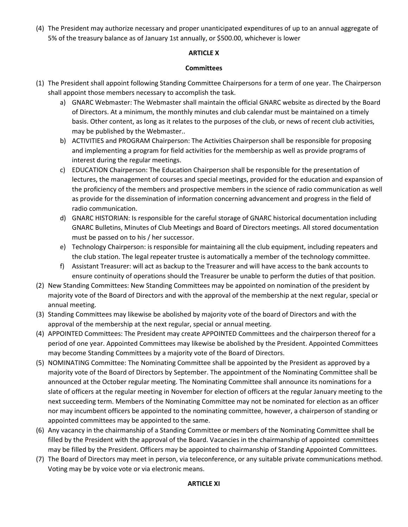(4) The President may authorize necessary and proper unanticipated expenditures of up to an annual aggregate of 5% of the treasury balance as of January 1st annually, or \$500.00, whichever is lower

## **ARTICLE X**

## **Committees**

- (1) The President shall appoint following Standing Committee Chairpersons for a term of one year. The Chairperson shall appoint those members necessary to accomplish the task.
	- a) GNARC Webmaster: The Webmaster shall maintain the official GNARC website as directed by the Board of Directors. At a minimum, the monthly minutes and club calendar must be maintained on a timely basis. Other content, as long as it relates to the purposes of the club, or news of recent club activities, may be published by the Webmaster..
	- b) ACTIVITIES and PROGRAM Chairperson: The Activities Chairperson shall be responsible for proposing and implementing a program for field activities for the membership as well as provide programs of interest during the regular meetings.
	- c) EDUCATION Chairperson: The Education Chairperson shall be responsible for the presentation of lectures, the management of courses and special meetings, provided for the education and expansion of the proficiency of the members and prospective members in the science of radio communication as well as provide for the dissemination of information concerning advancement and progress in the field of radio communication.
	- d) GNARC HISTORIAN: Is responsible for the careful storage of GNARC historical documentation including GNARC Bulletins, Minutes of Club Meetings and Board of Directors meetings. All stored documentation must be passed on to his / her successor.
	- e) Technology Chairperson: is responsible for maintaining all the club equipment, including repeaters and the club station. The legal repeater trustee is automatically a member of the technology committee.
	- f) Assistant Treasurer: will act as backup to the Treasurer and will have access to the bank accounts to ensure continuity of operations should the Treasurer be unable to perform the duties of that position.
- (2) New Standing Committees: New Standing Committees may be appointed on nomination of the president by majority vote of the Board of Directors and with the approval of the membership at the next regular, special or annual meeting.
- (3) Standing Committees may likewise be abolished by majority vote of the board of Directors and with the approval of the membership at the next regular, special or annual meeting.
- (4) APPOINTED Committees: The President may create APPOINTED Committees and the chairperson thereof for a period of one year. Appointed Committees may likewise be abolished by the President. Appointed Committees may become Standing Committees by a majority vote of the Board of Directors.
- (5) NOMINATING Committee: The Nominating Committee shall be appointed by the President as approved by a majority vote of the Board of Directors by September. The appointment of the Nominating Committee shall be announced at the October regular meeting. The Nominating Committee shall announce its nominations for a slate of officers at the regular meeting in November for election of officers at the regular January meeting to the next succeeding term. Members of the Nominating Committee may not be nominated for election as an officer nor may incumbent officers be appointed to the nominating committee, however, a chairperson of standing or appointed committees may be appointed to the same.
- (6) Any vacancy in the chairmanship of a Standing Committee or members of the Nominating Committee shall be filled by the President with the approval of the Board. Vacancies in the chairmanship of appointed committees may be filled by the President. Officers may be appointed to chairmanship of Standing Appointed Committees.
- (7) The Board of Directors may meet in person, via teleconference, or any suitable private communications method. Voting may be by voice vote or via electronic means.